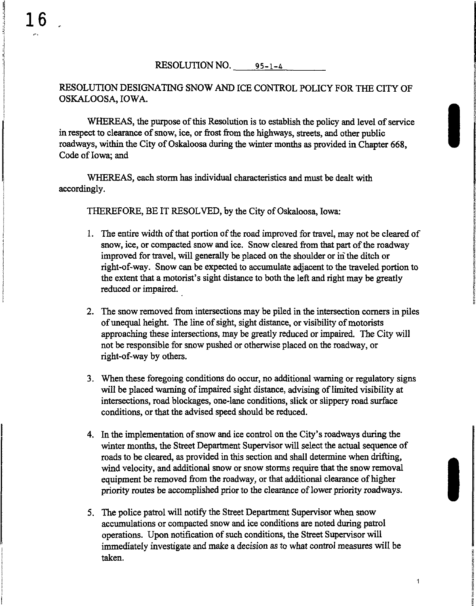RESOLUTION NO. <u>\_\_\_\_\_ 95–1–4</u>

## RESOLUTION DESIGNATING SNOW AND ICE CONTROL POLICY FOR THE CITY OF OSKALOOSA, IOWA.

WHEREAS, the purpose of this Resolution is to establish the policy and level of service<br>in respect to clearance of snow, ice, or frost from the highways, streets, and other public<br>roadways, within the City of Oskaloosa dur in respect to clearance of snow, ice, or frost from the highways, streets, and other public roadways, within the City of Oskaloosa during the winter months as provided in Chapter 668, Code of Iowa; and

> WHEREAS, each storm has individual characteristics and must be dealt with accordingly.

THEREFORE, BE IT RESOLVED, by the City of Oskaloosa, Iowa:

1. The entire width of that portion of the road improved for travel, may not be cleared of snow, ice, or compacted snow and ice. Snow cleared from that part of the roadway improved for travel, will generally be placed on the shoulder or in the ditch or right-of-way. Snow can be expected to accumulate adjacent to the traveled portion to the extent that a motorist's sight distance to both the left and right may be greatly <sup>i</sup> reduced or impaired.

**SHOWARDS** 

~

i

!

~ ~

1

- 2. The snow removed from intersections may be piled in the intersection comers in piles of unequal height. The line of sight, sight distance, or visibility of motorists approaching these intersections, may be greatly reduced or impaired. The City will not be responsible for snow pushed or otherwise placed on the roadway, or right-of-way by others.
- 3. When these foregoing conditions do occur, no additional warning or regulatory signs will be placed warning of impaired sight distance, advising of limited visibility at intersections, road blockages, one-lane conditions, slick or slippery road surface conditions, or that the advised speed should be reduced.
- 4. In the implementation of snow and ice control on the City's roadways during the F. In the implementation of show and toe contact on the City's rolating's damig the<br>winter months, the Street Department Supervisor will select the actual sequence of<br>roads to be cleared, as provided in this section and sh roads to be cleared, as provided in this section and shall determine when drifting, I wind velocity, and additional snow or snow storms require that the snow removal<br>equipment be removed from the roadway, or that additional clearance of higher<br>priority routes be accomplished prior to the clearance of lowe equipment be removed from the roadway, or that additional clearance of higher priority routes be accomplished prior to the clearance of lower priority roadways.
- 5. The police patrol will notify the Street Department Supervisor when snow accumulations or compacted snow and ice conditions are noted during patrol accumulations or compacted snow and ice conditions are noted during patrol<br>operations. Upon notification of such conditions, the Street Supervisor will<br>immediately investigate and make a decision as to what control measure operations. Upon notification of such conditions, the Street Supervisor will immediately investigate and make a decision as to what control measures will be taken.

in correction<br>In the correction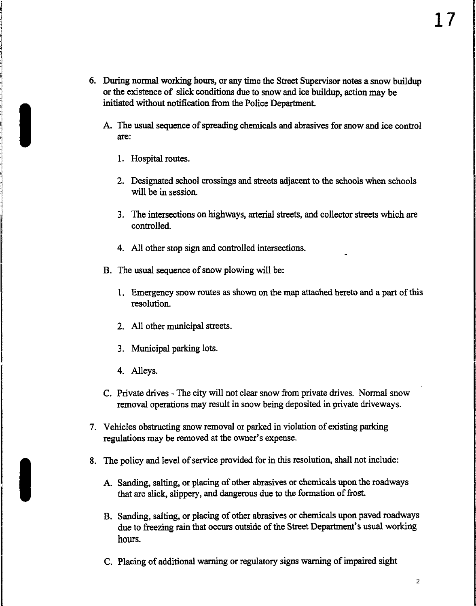- 6. During normal working hours, or any time the Street Supervisor notes a snow buildup or the existence of slick conditions due to snow and ice buildup, action may be initiated without notification from the Police Department.
	- A. The usual sequence of spreading chemicals and abrasives for snow and ice control are:
		- 1. Hospital routes.

I

- 2. Designated school crossings and streets adjacent to the schools when schools will be in session.
- 3. The intersections on highways, arterial streets, and collector streets which are controlled.
- 4. All other stop sign and controlled intersections.
- B. The usual sequence of snow plowing will be:
	- 1. Emergency snow routes as shown on the map attached hereto and a part of this resolution.
	- 2. All other municipal streets.
	- 3. Municipal parking lots.
	- 4. Alleys.
- C. Private drives The city will not clear snow from private drives. Normal snow removal operations may result in snow being deposited in private driveways.
- 7. Vehicles obstructing snow removal or parked in violation of existing parking regulations may be removed at the owner's expense.
- 8. The policy and level of service provided for in this resolution, shall not include:
	- A. Sanding, salting, or placing of other abrasives or chemicals upon the roadways that are slick, slippery, and dangerous due to the formation of frost.
	- B. Sanding, salting, or placing of other abrasives or chemicals upon paved roadways due to freezing rain that occurs outside of the Street Department's usual working hours.
	- C. Placing of additional warning or regulatory signs warning of impaired sight